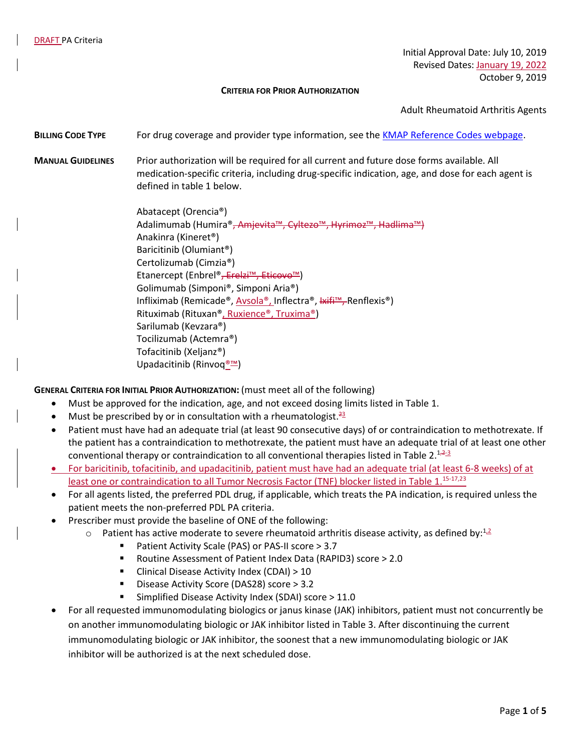Initial Approval Date: July 10, 2019 Revised Dates: January 19, 2022 October 9, 2019

#### **CRITERIA FOR PRIOR AUTHORIZATION**

Adult Rheumatoid Arthritis Agents

### **BILLING CODE TYPE** For drug coverage and provider type information, see the [KMAP Reference Codes webpage.](https://www.kmap-state-ks.us/Provider/PRICING/RefCode.asp)

**MANUAL GUIDELINES** Prior authorization will be required for all current and future dose forms available. All medication-specific criteria, including drug-specific indication, age, and dose for each agent is defined in table 1 below.

> Abatacept (Orencia®) Adalimumab (Humira®<del>, Amjevita™, Cyltezo™, Hyrimoz™, Hadlima™)</del> Anakinra (Kineret®) Baricitinib (Olumiant®) Certolizumab (Cimzia®) Etanercept (Enbrel®, Erelzi™, Eticovo™) Golimumab (Simponi®, Simponi Aria®) Infliximab (Remicade®, Avsola®, Inflectra®, Ixifi™, Renflexis®) Rituximab (Rituxan®, Ruxience®, Truxima®) Sarilumab (Kevzara®) Tocilizumab (Actemra®) Tofacitinib (Xeljanz®) Upadacitinib (Rinvoq<sup>®™</sup>)

**GENERAL CRITERIA FOR INITIAL PRIOR AUTHORIZATION:** (must meet all of the following)

- Must be approved for the indication, age, and not exceed dosing limits listed in Table 1.
- Must be prescribed by or in consultation with a rheumatologist.<sup>23</sup>
- Patient must have had an adequate trial (at least 90 consecutive days) of or contraindication to methotrexate. If the patient has a contraindication to methotrexate, the patient must have an adequate trial of at least one other conventional therapy or contraindication to all conventional therapies listed in Table 2.<sup>1,2-3</sup>
- For baricitinib, tofacitinib, and upadacitinib, patient must have had an adequate trial (at least 6-8 weeks) of at least one or contraindication to all Tumor Necrosis Factor (TNF) blocker listed in Table 1.<sup>15-17,23</sup>
- For all agents listed, the preferred PDL drug, if applicable, which treats the PA indication, is required unless the patient meets the non-preferred PDL PA criteria.
- Prescriber must provide the baseline of ONE of the following:
	- $\circ$  Patient has active moderate to severe rheumatoid arthritis disease activity, as defined by:<sup>1,2</sup>
		- Patient Activity Scale (PAS) or PAS-II score > 3.7
		- Routine Assessment of Patient Index Data (RAPID3) score > 2.0
		- Clinical Disease Activity Index (CDAI) > 10
		- Disease Activity Score (DAS28) score > 3.2
		- Simplified Disease Activity Index (SDAI) score > 11.0
- For all requested immunomodulating biologics or janus kinase (JAK) inhibitors, patient must not concurrently be on another immunomodulating biologic or JAK inhibitor listed in Table 3. After discontinuing the current immunomodulating biologic or JAK inhibitor, the soonest that a new immunomodulating biologic or JAK inhibitor will be authorized is at the next scheduled dose.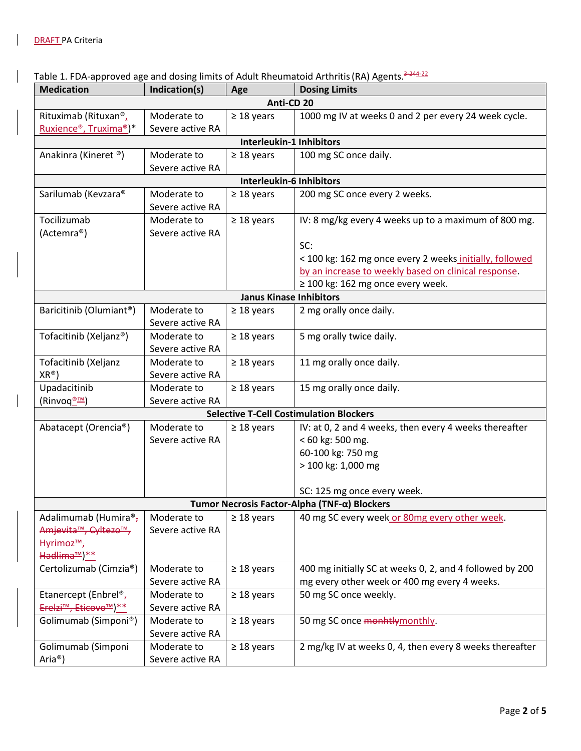$\overline{\phantom{a}}$ 

 $\overline{\phantom{a}}$ 

|  |  | Table 1. FDA-approved age and dosing limits of Adult Rheumatoid Arthritis (RA) Agents. <sup>3-244</sup> 22 |
|--|--|------------------------------------------------------------------------------------------------------------|
|--|--|------------------------------------------------------------------------------------------------------------|

| <b>Medication</b>                 | Indication(s)    | Age                             | <b>Dosing Limits</b>                                     |
|-----------------------------------|------------------|---------------------------------|----------------------------------------------------------|
|                                   |                  | Anti-CD 20                      |                                                          |
| Rituximab (Rituxan®,              | Moderate to      | $\geq$ 18 years                 | 1000 mg IV at weeks 0 and 2 per every 24 week cycle.     |
| Ruxience®, Truxima®)*             | Severe active RA |                                 |                                                          |
|                                   |                  | <b>Interleukin-1 Inhibitors</b> |                                                          |
| Anakinra (Kineret ®)              | Moderate to      | $\geq$ 18 years                 | 100 mg SC once daily.                                    |
|                                   | Severe active RA |                                 |                                                          |
|                                   |                  | <b>Interleukin-6 Inhibitors</b> |                                                          |
| Sarilumab (Kevzara®               | Moderate to      | $\geq$ 18 years                 | 200 mg SC once every 2 weeks.                            |
|                                   | Severe active RA |                                 |                                                          |
| Tocilizumab                       | Moderate to      | $\geq$ 18 years                 | IV: 8 mg/kg every 4 weeks up to a maximum of 800 mg.     |
| (Actemra®)                        | Severe active RA |                                 |                                                          |
|                                   |                  |                                 | SC:                                                      |
|                                   |                  |                                 | < 100 kg: 162 mg once every 2 weeks initially, followed  |
|                                   |                  |                                 | by an increase to weekly based on clinical response.     |
|                                   |                  |                                 | $\geq$ 100 kg: 162 mg once every week.                   |
|                                   |                  | <b>Janus Kinase Inhibitors</b>  |                                                          |
| Baricitinib (Olumiant®)           | Moderate to      | $\geq$ 18 years                 | 2 mg orally once daily.                                  |
|                                   | Severe active RA |                                 |                                                          |
| Tofacitinib (Xeljanz®)            | Moderate to      | $\geq$ 18 years                 | 5 mg orally twice daily.                                 |
|                                   | Severe active RA |                                 |                                                          |
| Tofacitinib (Xeljanz              | Moderate to      | $\geq$ 18 years                 | 11 mg orally once daily.                                 |
| $XR^{\circledR})$                 | Severe active RA |                                 |                                                          |
| Upadacitinib                      | Moderate to      | $\geq$ 18 years                 | 15 mg orally once daily.                                 |
| (Rinvoq <u>®™</u> )               | Severe active RA |                                 |                                                          |
|                                   |                  |                                 | <b>Selective T-Cell Costimulation Blockers</b>           |
| Abatacept (Orencia®)              | Moderate to      | $\geq$ 18 years                 | IV: at 0, 2 and 4 weeks, then every 4 weeks thereafter   |
|                                   | Severe active RA |                                 | < 60 kg: 500 mg.                                         |
|                                   |                  |                                 | 60-100 kg: 750 mg                                        |
|                                   |                  |                                 | > 100 kg: 1,000 mg                                       |
|                                   |                  |                                 |                                                          |
|                                   |                  |                                 | SC: 125 mg once every week.                              |
|                                   |                  |                                 | Tumor Necrosis Factor-Alpha (TNF-α) Blockers             |
| Adalimumab (Humira®,              | Moderate to      | $\geq$ 18 years                 | 40 mg SC every week or 80mg every other week.            |
| Amjevita <sup>™</sup> , Cyltezo™, | Severe active RA |                                 |                                                          |
| Hyrimoz <sup>™</sup> ,            |                  |                                 |                                                          |
| Hadlima™) **                      |                  |                                 |                                                          |
| Certolizumab (Cimzia®)            | Moderate to      | $\geq$ 18 years                 | 400 mg initially SC at weeks 0, 2, and 4 followed by 200 |
|                                   | Severe active RA |                                 | mg every other week or 400 mg every 4 weeks.             |
| Etanercept (Enbrel® <sub>7</sub>  | Moderate to      | $\geq$ 18 years                 | 50 mg SC once weekly.                                    |
| Erelzi <sup>™</sup> , Eticovo™)** | Severe active RA |                                 |                                                          |
| Golimumab (Simponi®)              | Moderate to      | $\geq$ 18 years                 | 50 mg SC once monhtlymonthly.                            |
|                                   | Severe active RA |                                 |                                                          |
| Golimumab (Simponi                | Moderate to      | $\geq$ 18 years                 | 2 mg/kg IV at weeks 0, 4, then every 8 weeks thereafter  |
| Aria <sup>®</sup> )               | Severe active RA |                                 |                                                          |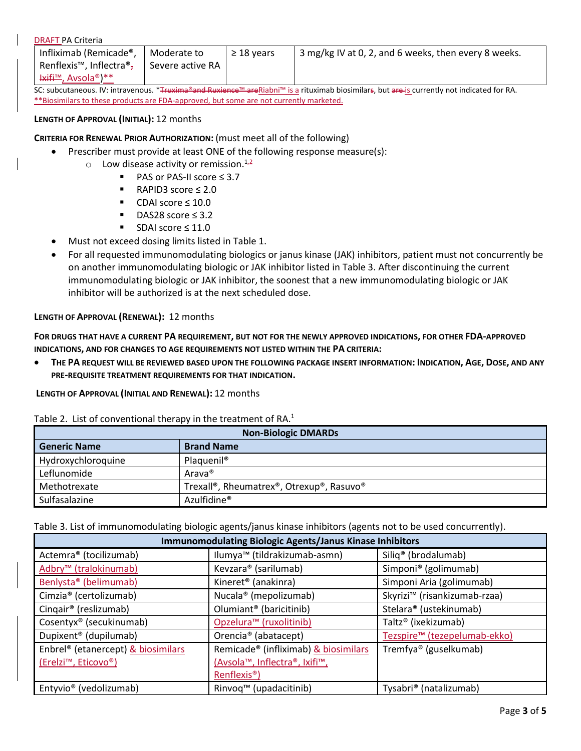|  | <b>DRAFT PA Criteria</b> |
|--|--------------------------|
|  |                          |

| Infliximab (Remicade®,                                                                                                                                                                                                                                                                                    | Moderate to      | $\geq$ 18 vears | <sup>1</sup> 3 mg/kg IV at 0, 2, and 6 weeks, then every 8 weeks. |
|-----------------------------------------------------------------------------------------------------------------------------------------------------------------------------------------------------------------------------------------------------------------------------------------------------------|------------------|-----------------|-------------------------------------------------------------------|
| Renflexis <sup>™</sup> , Inflectra <sup>®</sup> ,                                                                                                                                                                                                                                                         | Severe active RA |                 |                                                                   |
| $\frac{1}{2}$ + $\frac{1}{2}$ + $\frac{1}{2}$ + $\frac{1}{2}$ + $\frac{1}{2}$ + $\frac{1}{2}$ + $\frac{1}{2}$ + $\frac{1}{2}$ + $\frac{1}{2}$ + $\frac{1}{2}$ + $\frac{1}{2}$ + $\frac{1}{2}$ + $\frac{1}{2}$ + $\frac{1}{2}$ + $\frac{1}{2}$ + $\frac{1}{2}$ + $\frac{1}{2}$ + $\frac{1}{2}$ + $\frac{1$ |                  |                 |                                                                   |

SC: subcutaneous. IV: intravenous. \*Truxima®and Ruxience™ areRiabni™ is a rituximab biosimilars, but are is currently not indicated for RA. \*\*Biosimilars to these products are FDA-approved, but some are not currently marketed.

## **LENGTH OF APPROVAL (INITIAL):** 12 months

**CRITERIA FOR RENEWAL PRIOR AUTHORIZATION:** (must meet all of the following)

- Prescriber must provide at least ONE of the following response measure(s):
	- $\circ$  Low disease activity or remission.<sup>1,2</sup>
		- PAS or PAS-II score ≤ 3.7
		- RAPID3 score ≤ 2.0
		- CDAI score ≤ 10.0
		- DAS28 score ≤ 3.2
		- SDAI score ≤ 11.0
- Must not exceed dosing limits listed in Table 1.
- For all requested immunomodulating biologics or janus kinase (JAK) inhibitors, patient must not concurrently be on another immunomodulating biologic or JAK inhibitor listed in Table 3. After discontinuing the current immunomodulating biologic or JAK inhibitor, the soonest that a new immunomodulating biologic or JAK inhibitor will be authorized is at the next scheduled dose.

# **LENGTH OF APPROVAL (RENEWAL):** 12 months

**FOR DRUGS THAT HAVE A CURRENT PA REQUIREMENT, BUT NOT FOR THE NEWLY APPROVED INDICATIONS, FOR OTHER FDA-APPROVED INDICATIONS, AND FOR CHANGES TO AGE REQUIREMENTS NOT LISTED WITHIN THE PA CRITERIA:**

• **THE PA REQUEST WILL BE REVIEWED BASED UPON THE FOLLOWING PACKAGE INSERT INFORMATION: INDICATION, AGE, DOSE, AND ANY PRE-REQUISITE TREATMENT REQUIREMENTS FOR THAT INDICATION.**

**LENGTH OF APPROVAL (INITIAL AND RENEWAL):** 12 months

|  | Table 2. List of conventional therapy in the treatment of RA. $1$ |  |  |
|--|-------------------------------------------------------------------|--|--|
|--|-------------------------------------------------------------------|--|--|

|                     | <b>Non-Biologic DMARDs</b>                                         |
|---------------------|--------------------------------------------------------------------|
| <b>Generic Name</b> | <b>Brand Name</b>                                                  |
| Hydroxychloroquine  | Plaquenil <sup>®</sup>                                             |
| Leflunomide         | Arava <sup>®</sup>                                                 |
| Methotrexate        | Trexall <sup>®</sup> , Rheumatrex <sup>®</sup> , Otrexup®, Rasuvo® |
| Sulfasalazine       | Azulfidine <sup>®</sup>                                            |

Table 3. List of immunomodulating biologic agents/janus kinase inhibitors (agents not to be used concurrently).

|                                                | Immunomodulating Biologic Agents/Janus Kinase Inhibitors |                                          |
|------------------------------------------------|----------------------------------------------------------|------------------------------------------|
| Actemra® (tocilizumab)                         | Ilumya <sup>™</sup> (tildrakizumab-asmn)                 | Siliq <sup>®</sup> (brodalumab)          |
| Adbry <sup>™</sup> (tralokinumab)              | Kevzara® (sarilumab)                                     | Simponi <sup>®</sup> (golimumab)         |
| Benlysta <sup>®</sup> (belimumab)              | Kineret <sup>®</sup> (anakinra)                          | Simponi Aria (golimumab)                 |
| Cimzia <sup>®</sup> (certolizumab)             | Nucala <sup>®</sup> (mepolizumab)                        | Skyrizi <sup>™</sup> (risankizumab-rzaa) |
| Cingair <sup>®</sup> (reslizumab)              | Olumiant <sup>®</sup> (baricitinib)                      | Stelara® (ustekinumab)                   |
| Cosentyx <sup>®</sup> (secukinumab)            | Opzelura <sup>™</sup> (ruxolitinib)                      | Taltz <sup>®</sup> (ixekizumab)          |
| Dupixent <sup>®</sup> (dupilumab)              | Orencia <sup>®</sup> (abatacept)                         | Tezspire™ (tezepelumab-ekko)             |
| Enbrel <sup>®</sup> (etanercept) & biosimilars | Remicade® (infliximab) & biosimilars                     | Tremfya <sup>®</sup> (guselkumab)        |
| (Erelzi <sup>™</sup> , Eticovo®)               | (Avsola <sup>™</sup> , Inflectra®, Ixifi™,               |                                          |
|                                                | Renflexis <sup>®</sup> )                                 |                                          |
| Entyvio <sup>®</sup> (vedolizumab)             | Rinvoq™ (upadacitinib)                                   | Tysabri <sup>®</sup> (natalizumab)       |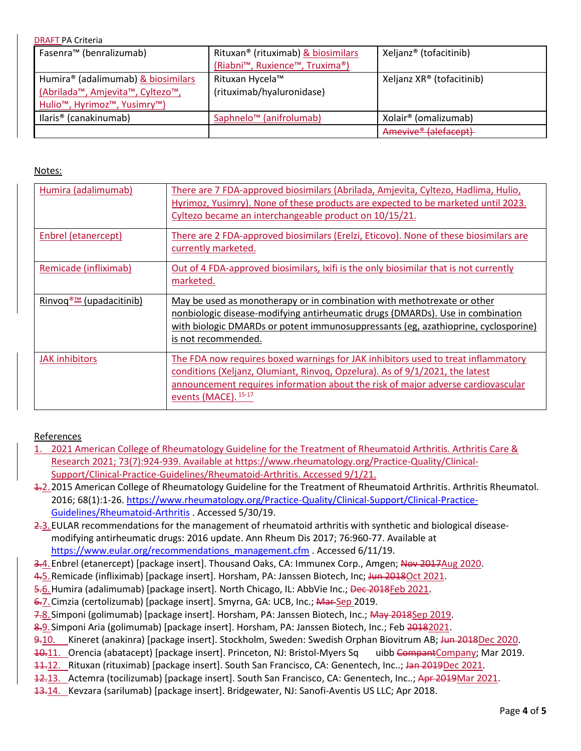| <b>DRAFT PA Criteria</b>                              |                                                |                                       |
|-------------------------------------------------------|------------------------------------------------|---------------------------------------|
| Fasenra <sup>™</sup> (benralizumab)                   | Rituxan <sup>®</sup> (rituximab) & biosimilars | Xeljanz <sup>®</sup> (tofacitinib)    |
|                                                       | (Riabni™, Ruxience™, Truxima®)                 |                                       |
| Humira® (adalimumab) & biosimilars                    | Rituxan Hycela™                                | Xeljanz XR <sup>®</sup> (tofacitinib) |
| (Abrilada™, Amjevita™, Cyltezo™,                      | (rituximab/hyaluronidase)                      |                                       |
| Hulio <sup>™</sup> , Hyrimoz <sup>™</sup> , Yusimry™) |                                                |                                       |
| llaris <sup>®</sup> (canakinumab)                     | Saphnelo <sup>™</sup> (anifrolumab)            | Xolair <sup>®</sup> (omalizumab)      |
|                                                       |                                                | Amevive <sup>®</sup> (alefacept)      |

### Notes:

| Humira (adalimumab)                 | There are 7 FDA-approved biosimilars (Abrilada, Amjevita, Cyltezo, Hadlima, Hulio,<br>Hyrimoz, Yusimry). None of these products are expected to be marketed until 2023.<br>Cyltezo became an interchangeable product on 10/15/21.                                      |
|-------------------------------------|------------------------------------------------------------------------------------------------------------------------------------------------------------------------------------------------------------------------------------------------------------------------|
| Enbrel (etanercept)                 | There are 2 FDA-approved biosimilars (Erelzi, Eticovo). None of these biosimilars are<br>currently marketed.                                                                                                                                                           |
| Remicade (infliximab)               | Out of 4 FDA-approved biosimilars, Ixifi is the only biosimilar that is not currently<br>marketed.                                                                                                                                                                     |
|                                     |                                                                                                                                                                                                                                                                        |
| Rinvog <sup>®™</sup> (upadacitinib) | May be used as monotherapy or in combination with methotrexate or other<br>nonbiologic disease-modifying antirheumatic drugs (DMARDs). Use in combination<br>with biologic DMARDs or potent immunosuppressants (eg, azathioprine, cyclosporine)<br>is not recommended. |

### References

- 2021 American College of Rheumatology Guideline for the Treatment of Rheumatoid Arthritis. Arthritis Care & Research 2021; 73(7):924-939. Available at [https://www.rheumatology.org/Practice-Quality/Clinical-](https://www.rheumatology.org/Practice-Quality/Clinical-Support/Clinical-Practice-Guidelines/Rheumatoid-Arthritis)[Support/Clinical-Practice-Guidelines/Rheumatoid-Arthritis.](https://www.rheumatology.org/Practice-Quality/Clinical-Support/Clinical-Practice-Guidelines/Rheumatoid-Arthritis) Accessed 9/1/21.
- 1.2.2015 American College of Rheumatology Guideline for the Treatment of Rheumatoid Arthritis. Arthritis Rheumatol. 2016; 68(1):1-26. [https://www.rheumatology.org/Practice-Quality/Clinical-Support/Clinical-Practice-](https://www.rheumatology.org/Practice-Quality/Clinical-Support/Clinical-Practice-Guidelines/Rheumatoid-Arthritis)[Guidelines/Rheumatoid-Arthritis](https://www.rheumatology.org/Practice-Quality/Clinical-Support/Clinical-Practice-Guidelines/Rheumatoid-Arthritis) . Accessed 5/30/19.
- 2.3.EULAR recommendations for the management of rheumatoid arthritis with synthetic and biological diseasemodifying antirheumatic drugs: 2016 update. Ann Rheum Dis 2017; 76:960-77. Available at [https://www.eular.org/recommendations\\_management.cfm](https://www.eular.org/recommendations_management.cfm) . Accessed 6/11/19.
- 3.4. Enbrel (etanercept) [package insert]. Thousand Oaks, CA: Immunex Corp., Amgen; Nov 2017Aug 2020.
- 4.5. Remicade (infliximab) [package insert]. Horsham, PA: Janssen Biotech, Inc; Jun 2018Oct 2021.
- 5.6. Humira (adalimumab) [package insert]. North Chicago, IL: AbbVie Inc.; Dec 2018Feb 2021.
- 6.7. Cimzia (certolizumab) [package insert]. Smyrna, GA: UCB, Inc.; Mar Sep 2019.
- 7.8. Simponi (golimumab) [package insert]. Horsham, PA: Janssen Biotech, Inc.; May 2018Sep 2019.
- 8.9. Simponi Aria (golimumab) [package insert]. Horsham, PA: Janssen Biotech, Inc.; Feb 20182021.
- 9.10. Kineret (anakinra) [package insert]. Stockholm, Sweden: Swedish Orphan Biovitrum AB; Jun 2018Dec 2020.
- 10.11. Orencia (abatacept) [package insert]. Princeton, NJ: Bristol-Myers Sq uibb CompantCompany; Mar 2019.
- 11.12. Rituxan (rituximab) [package insert]. South San Francisco, CA: Genentech, Inc..; Jan 2019Dec 2021.
- 12.13. Actemra (tocilizumab) [package insert]. South San Francisco, CA: Genentech, Inc..; Apr 2019Mar 2021.
- 13.14. Kevzara (sarilumab) [package insert]. Bridgewater, NJ: Sanofi-Aventis US LLC; Apr 2018.